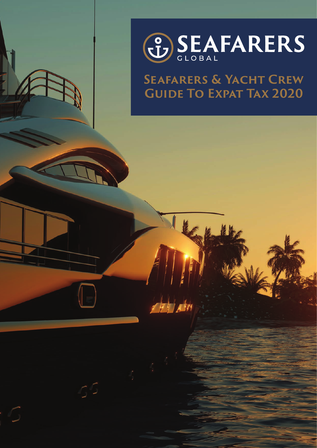

# **Seafarers & Yacht Crew Guide To Expat Tax 2020**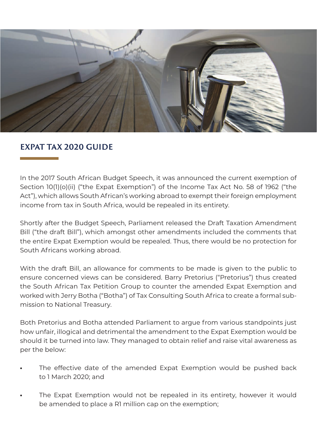

### **EXPAT TAX 2020 GUIDE**

In the 2017 South African Budget Speech, it was announced the current exemption of Section 10(1)(o)(ii) ("the Expat Exemption") of the Income Tax Act No. 58 of 1962 ("the Act"), which allows South African's working abroad to exempt their foreign employment income from tax in South Africa, would be repealed in its entirety.

Shortly after the Budget Speech, Parliament released the Draft Taxation Amendment Bill ("the draft Bill"), which amongst other amendments included the comments that the entire Expat Exemption would be repealed. Thus, there would be no protection for South Africans working abroad.

With the draft Bill, an allowance for comments to be made is given to the public to ensure concerned views can be considered. Barry Pretorius ("Pretorius") thus created the South African Tax Petition Group to counter the amended Expat Exemption and worked with Jerry Botha ("Botha") of Tax Consulting South Africa to create a formal submission to National Treasury.

Both Pretorius and Botha attended Parliament to argue from various standpoints just how unfair, illogical and detrimental the amendment to the Expat Exemption would be should it be turned into law. They managed to obtain relief and raise vital awareness as per the below:

- The effective date of the amended Expat Exemption would be pushed back to 1 March 2020; and
- The Expat Exemption would not be repealed in its entirety, however it would be amended to place a R1 million cap on the exemption;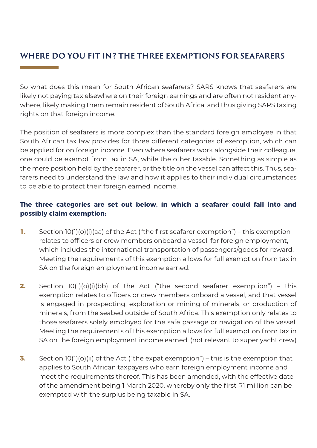## **WHERE DO YOU FIT IN? THE THREE EXEMPTIONS FOR SEAFARERS**

So what does this mean for South African seafarers? SARS knows that seafarers are likely not paying tax elsewhere on their foreign earnings and are often not resident anywhere, likely making them remain resident of South Africa, and thus giving SARS taxing rights on that foreign income.

The position of seafarers is more complex than the standard foreign employee in that South African tax law provides for three different categories of exemption, which can be applied for on foreign income. Even where seafarers work alongside their colleague, one could be exempt from tax in SA, while the other taxable. Something as simple as the mere position held by the seafarer, or the title on the vessel can affect this. Thus, seafarers need to understand the law and how it applies to their individual circumstances to be able to protect their foreign earned income.

### **The three categories are set out below, in which a seafarer could fall into and possibly claim exemption:**

- **1.** Section 10(1)(o)(i)(aa) of the Act ("the first seafarer exemption") this exemption relates to officers or crew members onboard a vessel, for foreign employment, which includes the international transportation of passengers/goods for reward. Meeting the requirements of this exemption allows for full exemption from tax in SA on the foreign employment income earned.
- **2.** Section 10(1)(o)(i)(bb) of the Act ("the second seafarer exemption") this exemption relates to officers or crew members onboard a vessel, and that vessel is engaged in prospecting, exploration or mining of minerals, or production of minerals, from the seabed outside of South Africa. This exemption only relates to those seafarers solely employed for the safe passage or navigation of the vessel. Meeting the requirements of this exemption allows for full exemption from tax in SA on the foreign employment income earned. (not relevant to super yacht crew)
- **3.** Section 10(1)(o)(ii) of the Act ("the expat exemption") this is the exemption that applies to South African taxpayers who earn foreign employment income and meet the requirements thereof. This has been amended, with the effective date of the amendment being 1 March 2020, whereby only the first R1 million can be exempted with the surplus being taxable in SA.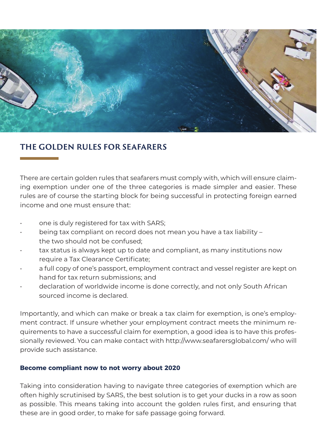

### **THE GOLDEN RULES FOR SEAFARERS**

There are certain golden rules that seafarers must comply with, which will ensure claiming exemption under one of the three categories is made simpler and easier. These rules are of course the starting block for being successful in protecting foreign earned income and one must ensure that:

- one is duly registered for tax with SARS;
- being tax compliant on record does not mean you have a tax liability the two should not be confused;
- tax status is always kept up to date and compliant, as many institutions now require a Tax Clearance Certificate;
- a full copy of one's passport, employment contract and vessel register are kept on hand for tax return submissions; and
- declaration of worldwide income is done correctly, and not only South African sourced income is declared.

Importantly, and which can make or break a tax claim for exemption, is one's employment contract. If unsure whether your employment contract meets the minimum requirements to have a successful claim for exemption, a good idea is to have this professionally reviewed. You can make contact with http://www.seafarersglobal.com/ who will provide such assistance.

#### **Become compliant now to not worry about 2020**

Taking into consideration having to navigate three categories of exemption which are often highly scrutinised by SARS, the best solution is to get your ducks in a row as soon as possible. This means taking into account the golden rules first, and ensuring that these are in good order, to make for safe passage going forward.